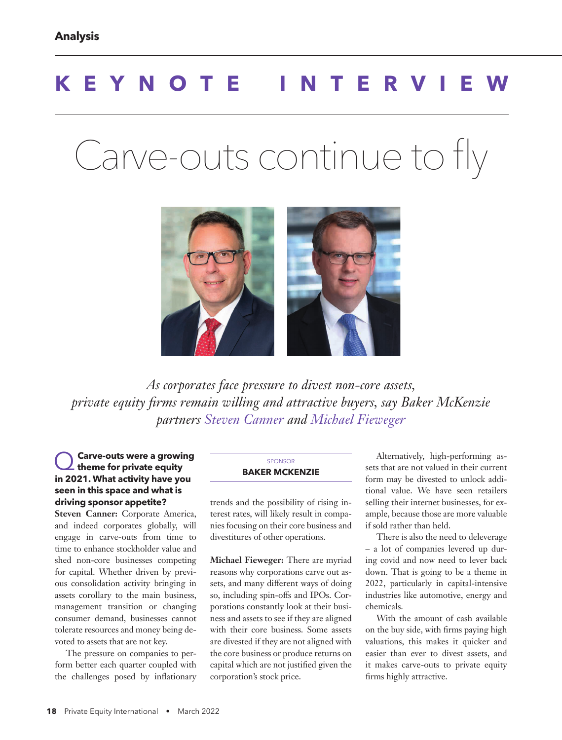# **KEYNOTE INTERVIEW**

# Carve-outs continue to fly



*As corporates face pressure to divest non-core assets, private equity firms remain willing and attractive buyers, say Baker McKenzie partners Steven Canner and Michael Fieweger*

### Q **Carve-outs were a growing theme for private equity in 2021. What activity have you seen in this space and what is driving sponsor appetite?**

**Steven Canner:** Corporate America, and indeed corporates globally, will engage in carve-outs from time to time to enhance stockholder value and shed non-core businesses competing for capital. Whether driven by previous consolidation activity bringing in assets corollary to the main business, management transition or changing consumer demand, businesses cannot tolerate resources and money being devoted to assets that are not key.

The pressure on companies to perform better each quarter coupled with the challenges posed by inflationary

#### SPONSOR **BAKER MCKENZIE**

trends and the possibility of rising interest rates, will likely result in companies focusing on their core business and divestitures of other operations.

**Michael Fieweger:** There are myriad reasons why corporations carve out assets, and many different ways of doing so, including spin-offs and IPOs. Corporations constantly look at their business and assets to see if they are aligned with their core business. Some assets are divested if they are not aligned with the core business or produce returns on capital which are not justified given the corporation's stock price.

Alternatively, high-performing assets that are not valued in their current form may be divested to unlock additional value. We have seen retailers selling their internet businesses, for example, because those are more valuable if sold rather than held.

There is also the need to deleverage – a lot of companies levered up during covid and now need to lever back down. That is going to be a theme in 2022, particularly in capital-intensive industries like automotive, energy and chemicals.

With the amount of cash available on the buy side, with firms paying high valuations, this makes it quicker and easier than ever to divest assets, and it makes carve-outs to private equity firms highly attractive.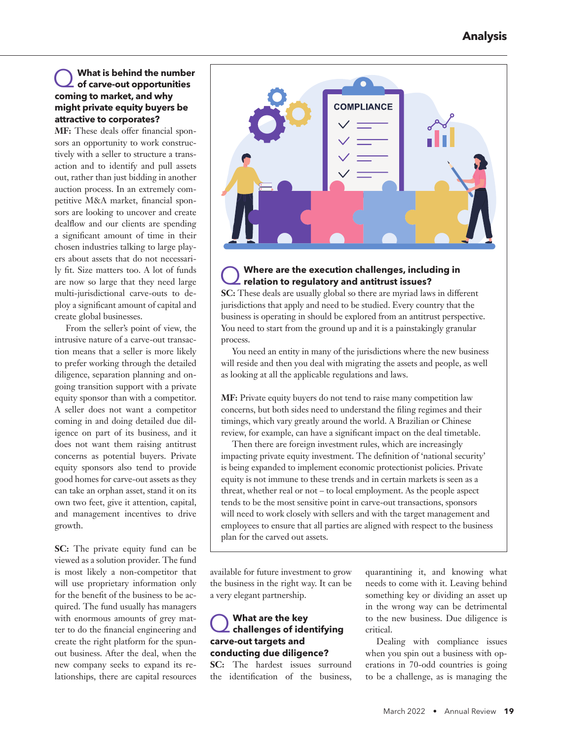## Q **What is behind the number of carve-out opportunities coming to market, and why might private equity buyers be attractive to corporates?**

**MF:** These deals offer financial sponsors an opportunity to work constructively with a seller to structure a transaction and to identify and pull assets out, rather than just bidding in another auction process. In an extremely competitive M&A market, financial sponsors are looking to uncover and create dealflow and our clients are spending a significant amount of time in their chosen industries talking to large players about assets that do not necessarily fit. Size matters too. A lot of funds are now so large that they need large multi-jurisdictional carve-outs to deploy a significant amount of capital and create global businesses.

From the seller's point of view, the intrusive nature of a carve-out transaction means that a seller is more likely to prefer working through the detailed diligence, separation planning and ongoing transition support with a private equity sponsor than with a competitor. A seller does not want a competitor coming in and doing detailed due diligence on part of its business, and it does not want them raising antitrust concerns as potential buyers. Private equity sponsors also tend to provide good homes for carve-out assets as they can take an orphan asset, stand it on its own two feet, give it attention, capital, and management incentives to drive growth.

**SC:** The private equity fund can be viewed as a solution provider. The fund is most likely a non-competitor that will use proprietary information only for the benefit of the business to be acquired. The fund usually has managers with enormous amounts of grey matter to do the financial engineering and create the right platform for the spunout business. After the deal, when the new company seeks to expand its relationships, there are capital resources



#### Where are the execution challenges, including in **relation to regulatory and antitrust issues?**

**SC:** These deals are usually global so there are myriad laws in different jurisdictions that apply and need to be studied. Every country that the business is operating in should be explored from an antitrust perspective. You need to start from the ground up and it is a painstakingly granular process.

You need an entity in many of the jurisdictions where the new business will reside and then you deal with migrating the assets and people, as well as looking at all the applicable regulations and laws.

**MF:** Private equity buyers do not tend to raise many competition law concerns, but both sides need to understand the filing regimes and their timings, which vary greatly around the world. A Brazilian or Chinese review, for example, can have a significant impact on the deal timetable.

Then there are foreign investment rules, which are increasingly impacting private equity investment. The definition of 'national security' is being expanded to implement economic protectionist policies. Private equity is not immune to these trends and in certain markets is seen as a threat, whether real or not – to local employment. As the people aspect tends to be the most sensitive point in carve-out transactions, sponsors will need to work closely with sellers and with the target management and employees to ensure that all parties are aligned with respect to the business plan for the carved out assets.

available for future investment to grow the business in the right way. It can be a very elegant partnership.

# Q **What are the key challenges of identifying carve-out targets and conducting due diligence?**

**SC:** The hardest issues surround the identification of the business, quarantining it, and knowing what needs to come with it. Leaving behind something key or dividing an asset up in the wrong way can be detrimental to the new business. Due diligence is critical.

Dealing with compliance issues when you spin out a business with operations in 70-odd countries is going to be a challenge, as is managing the